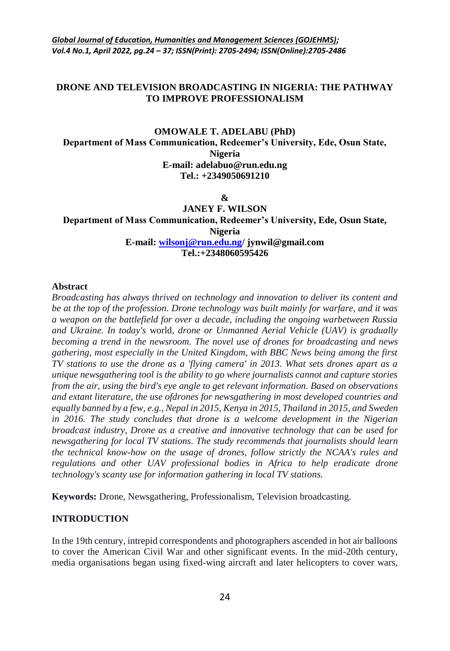## **DRONE AND TELEVISION BROADCASTING IN NIGERIA: THE PATHWAY TO IMPROVE PROFESSIONALISM**

# **OMOWALE T. ADELABU (PhD) Department of Mass Communication, Redeemer's University, Ede, Osun State, Nigeria E-mail: adelabuo@run.edu.ng Tel.: +2349050691210**

**&**

**JANEY F. WILSON Department of Mass Communication, Redeemer's University, Ede, Osun State, Nigeria E-mail: [wilsonj@run.edu.ng/](mailto:wilsonj@run.edu.ng) jynwil@gmail.com Tel.:+2348060595426**

#### **Abstract**

*Broadcasting has always thrived on technology and innovation to deliver its content and be at the top of the profession. Drone technology was built mainly for warfare, and it was a weapon on the battlefield for over a decade, including the ongoing warbetween Russia and Ukraine. In today's* world*, drone or Unmanned Aerial Vehicle (UAV) is gradually becoming a trend in the newsroom. The novel use of drones for broadcasting and news gathering, most especially in the United Kingdom, with BBC News being among the first TV stations to use the drone as a 'flying camera' in 2013. What sets drones apart as a unique newsgathering tool is the ability to go where journalists cannot and capture stories from the air, using the bird's eye angle to get relevant information. Based on observations and extant literature, the use ofdrones for newsgathering in most developed countries and equally banned by a few, e.g., Nepal in 2015, Kenya in 2015, Thailand in 2015, and Sweden in 2016. The study concludes that drone is a welcome development in the Nigerian broadcast industry, Drone as a creative and innovative technology that can be used for newsgathering for local TV stations. The study recommends that journalists should learn the technical know-how on the usage of drones, follow strictly the NCAA's rules and regulations and other UAV professional bodies in Africa to help eradicate drone technology's scanty use for information gathering in local TV stations.*

**Keywords:** Drone, Newsgathering, Professionalism, Television broadcasting.

## **INTRODUCTION**

In the 19th century, intrepid correspondents and photographers ascended in hot air balloons to cover the American Civil War and other significant events. In the mid-20th century, media organisations began using fixed-wing aircraft and later helicopters to cover wars,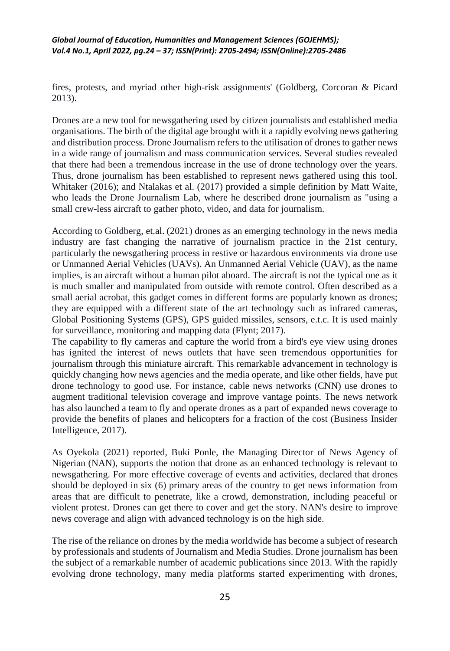fires, protests, and myriad other high-risk assignments' (Goldberg, Corcoran & Picard 2013).

Drones are a new tool for newsgathering used by citizen journalists and established media organisations. The birth of the digital age brought with it a rapidly evolving news gathering and distribution process. Drone Journalism refers to the utilisation of drones to gather news in a wide range of journalism and mass communication services. Several studies revealed that there had been a tremendous increase in the use of drone technology over the years. Thus, drone journalism has been established to represent news gathered using this tool. Whitaker (2016); and Ntalakas et al. (2017) provided a simple definition by Matt Waite, who leads the Drone Journalism Lab, where he described drone journalism as "using a small crew-less aircraft to gather photo, video, and data for journalism.

According to Goldberg, [et.al.](http://et.al/) (2021) drones as an emerging technology in the news media industry are fast changing the narrative of journalism practice in the 21st century, particularly the newsgathering process in restive or hazardous environments via drone use or Unmanned Aerial Vehicles (UAVs). An Unmanned Aerial Vehicle (UAV), as the name implies, is an aircraft without a human pilot aboard. The aircraft is not the typical one as it is much smaller and manipulated from outside with remote control. Often described as a small aerial acrobat, this gadget comes in different forms are popularly known as drones; they are equipped with a different state of the art technology such as infrared cameras, Global Positioning Systems (GPS), GPS guided missiles, sensors, e.t.c. It is used mainly for surveillance, monitoring and mapping data (Flynt; 2017).

The capability to fly cameras and capture the world from a bird's eye view using drones has ignited the interest of news outlets that have seen tremendous opportunities for journalism through this miniature aircraft. This remarkable advancement in technology is quickly changing how news agencies and the media operate, and like other fields, have put drone technology to good use. For instance, cable news networks (CNN) use drones to augment traditional television coverage and improve vantage points. The news network has also launched a team to fly and operate drones as a part of expanded news coverage to provide the benefits of planes and helicopters for a fraction of the cost (Business Insider Intelligence, 2017).

As Oyekola (2021) reported, Buki Ponle, the Managing Director of News Agency of Nigerian (NAN), supports the notion that drone as an enhanced technology is relevant to newsgathering. For more effective coverage of events and activities, declared that drones should be deployed in six (6) primary areas of the country to get news information from areas that are difficult to penetrate, like a crowd, demonstration, including peaceful or violent protest. Drones can get there to cover and get the story. NAN's desire to improve news coverage and align with advanced technology is on the high side.

The rise of the reliance on drones by the media worldwide has become a subject of research by professionals and students of Journalism and Media Studies. Drone journalism has been the subject of a remarkable number of academic publications since 2013. With the rapidly evolving drone technology, many media platforms started experimenting with drones,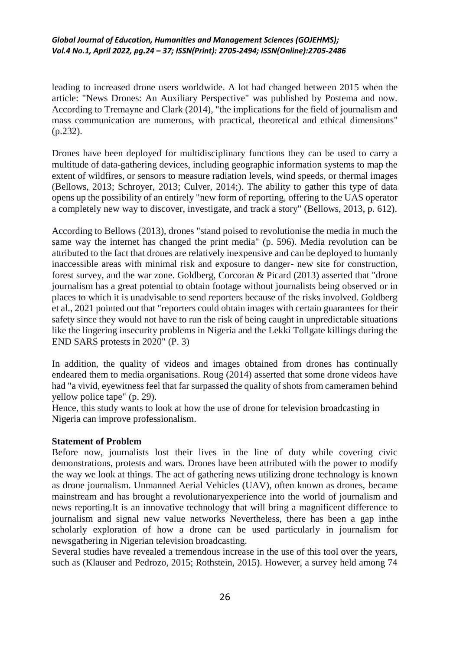leading to increased drone users worldwide. A lot had changed between 2015 when the article: "News Drones: An Auxiliary Perspective" was published by Postema and now. According to Tremayne and Clark (2014), "the implications for the field of journalism and mass communication are numerous, with practical, theoretical and ethical dimensions" (p.232).

Drones have been deployed for multidisciplinary functions they can be used to carry a multitude of data-gathering devices, including geographic information systems to map the extent of wildfires, or sensors to measure radiation levels, wind speeds, or thermal images (Bellows, 2013; Schroyer, 2013; Culver, 2014;). The ability to gather this type of data opens up the possibility of an entirely "new form of reporting, offering to the UAS operator a completely new way to discover, investigate, and track a story" (Bellows, 2013, p. 612).

According to Bellows (2013), drones "stand poised to revolutionise the media in much the same way the internet has changed the print media" (p. 596). Media revolution can be attributed to the fact that drones are relatively inexpensive and can be deployed to humanly inaccessible areas with minimal risk and exposure to danger- new site for construction, forest survey, and the war zone. Goldberg, Corcoran & Picard (2013) asserted that "drone journalism has a great potential to obtain footage without journalists being observed or in places to which it is unadvisable to send reporters because of the risks involved. Goldberg et al., 2021 pointed out that "reporters could obtain images with certain guarantees for their safety since they would not have to run the risk of being caught in unpredictable situations like the lingering insecurity problems in Nigeria and the Lekki Tollgate killings during the END SARS protests in 2020" (P. 3)

In addition, the quality of videos and images obtained from drones has continually endeared them to media organisations. Roug (2014) asserted that some drone videos have had "a vivid, eyewitness feel that far surpassed the quality of shots from cameramen behind yellow police tape" (p. 29).

Hence, this study wants to look at how the use of drone for television broadcasting in Nigeria can improve professionalism.

## **Statement of Problem**

Before now, journalists lost their lives in the line of duty while covering civic demonstrations, protests and wars. Drones have been attributed with the power to modify the way we look at things. The act of gathering news utilizing drone technology is known as drone journalism. Unmanned Aerial Vehicles (UAV), often known as drones, became mainstream and has brought a revolutionaryexperience into the world of journalism and news reporting.It is an innovative technology that will bring a magnificent difference to journalism and signal new value networks Nevertheless, there has been a gap inthe scholarly exploration of how a drone can be used particularly in journalism for newsgathering in Nigerian television broadcasting.

Several studies have revealed a tremendous increase in the use of this tool over the years, such as (Klauser and Pedrozo, 2015; Rothstein, 2015). However, a survey held among 74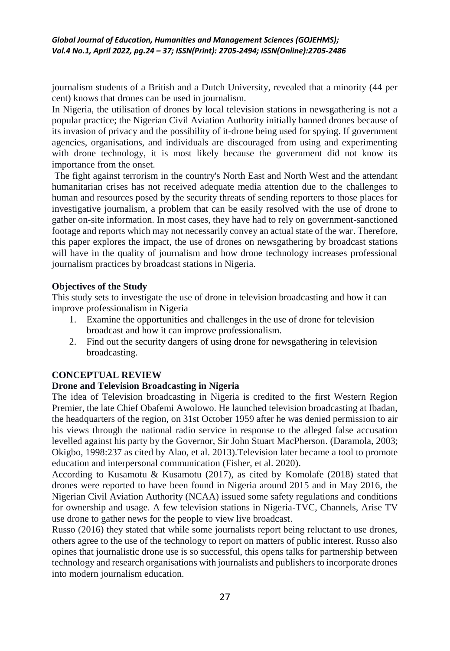journalism students of a British and a Dutch University, revealed that a minority (44 per cent) knows that drones can be used in journalism.

In Nigeria, the utilisation of drones by local television stations in newsgathering is not a popular practice; the Nigerian Civil Aviation Authority initially banned drones because of its invasion of privacy and the possibility of it-drone being used for spying. If government agencies, organisations, and individuals are discouraged from using and experimenting with drone technology, it is most likely because the government did not know its importance from the onset.

The fight against terrorism in the country's North East and North West and the attendant humanitarian crises has not received adequate media attention due to the challenges to human and resources posed by the security threats of sending reporters to those places for investigative journalism, a problem that can be easily resolved with the use of drone to gather on-site information. In most cases, they have had to rely on government-sanctioned footage and reports which may not necessarily convey an actual state of the war. Therefore, this paper explores the impact, the use of drones on newsgathering by broadcast stations will have in the quality of journalism and how drone technology increases professional journalism practices by broadcast stations in Nigeria.

# **Objectives of the Study**

This study sets to investigate the use of drone in television broadcasting and how it can improve professionalism in Nigeria

- 1. Examine the opportunities and challenges in the use of drone for television broadcast and how it can improve professionalism.
- 2. Find out the security dangers of using drone for newsgathering in television broadcasting.

# **CONCEPTUAL REVIEW**

## **Drone and Television Broadcasting in Nigeria**

The idea of Television broadcasting in Nigeria is credited to the first Western Region Premier, the late Chief Obafemi Awolowo. He launched television broadcasting at Ibadan, the headquarters of the region, on 31st October 1959 after he was denied permission to air his views through the national radio service in response to the alleged false accusation levelled against his party by the Governor, Sir John Stuart MacPherson. (Daramola, 2003; Okigbo, 1998:237 as cited by Alao, et al. 2013).Television later became a tool to promote education and interpersonal communication (Fisher, et al. 2020).

According to Kusamotu & Kusamotu (2017), as cited by Komolafe (2018) stated that drones were reported to have been found in Nigeria around 2015 and in May 2016, the Nigerian Civil Aviation Authority (NCAA) issued some safety regulations and conditions for ownership and usage. A few television stations in Nigeria-TVC, Channels, Arise TV use drone to gather news for the people to view live broadcast.

Russo (2016) they stated that while some journalists report being reluctant to use drones, others agree to the use of the technology to report on matters of public interest. Russo also opines that journalistic drone use is so successful, this opens talks for partnership between technology and research organisations with journalists and publishers to incorporate drones into modern journalism education.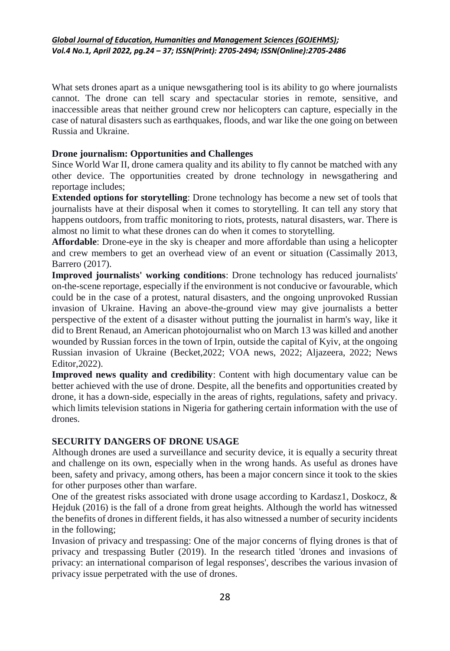What sets drones apart as a unique newsgathering tool is its ability to go where journalists cannot. The drone can tell scary and spectacular stories in remote, sensitive, and inaccessible areas that neither ground crew nor helicopters can capture, especially in the case of natural disasters such as earthquakes, floods, and war like the one going on between Russia and Ukraine.

# **Drone journalism: Opportunities and Challenges**

Since World War II, drone camera quality and its ability to fly cannot be matched with any other device. The opportunities created by drone technology in newsgathering and reportage includes;

**Extended options for storytelling**: Drone technology has become a new set of tools that journalists have at their disposal when it comes to storytelling. It can tell any story that happens outdoors, from traffic monitoring to riots, protests, natural disasters, war. There is almost no limit to what these drones can do when it comes to storytelling.

**Affordable**: Drone-eye in the sky is cheaper and more affordable than using a helicopter and crew members to get an overhead view of an event or situation (Cassimally 2013, Barrero (2017).

**Improved journalists' working conditions**: Drone technology has reduced journalists' on-the-scene reportage, especially if the environment is not conducive or favourable, which could be in the case of a protest, natural disasters, and the ongoing unprovoked Russian invasion of Ukraine. Having an above-the-ground view may give journalists a better perspective of the extent of a disaster without putting the journalist in harm's way, like it did to Brent Renaud, an American photojournalist who on March 13 was killed and another wounded by Russian forces in the town of Irpin, outside the capital of Kyiv, at the ongoing Russian invasion of Ukraine (Becket,2022; VOA news, 2022; Aljazeera, 2022; News Editor,2022).

**Improved news quality and credibility**: Content with high documentary value can be better achieved with the use of drone. Despite, all the benefits and opportunities created by drone, it has a down-side, especially in the areas of rights, regulations, safety and privacy. which limits television stations in Nigeria for gathering certain information with the use of drones.

## **SECURITY DANGERS OF DRONE USAGE**

Although drones are used a surveillance and security device, it is equally a security threat and challenge on its own, especially when in the wrong hands. As useful as drones have been, safety and privacy, among others, has been a major concern since it took to the skies for other purposes other than warfare.

One of the greatest risks associated with drone usage according to Kardasz1, Doskocz, & Hejduk (2016) is the fall of a drone from great heights. Although the world has witnessed the benefits of drones in different fields, it has also witnessed a number of security incidents in the following;

Invasion of privacy and trespassing: One of the major concerns of flying drones is that of privacy and trespassing Butler (2019). In the research titled 'drones and invasions of privacy: an international comparison of legal responses', describes the various invasion of privacy issue perpetrated with the use of drones.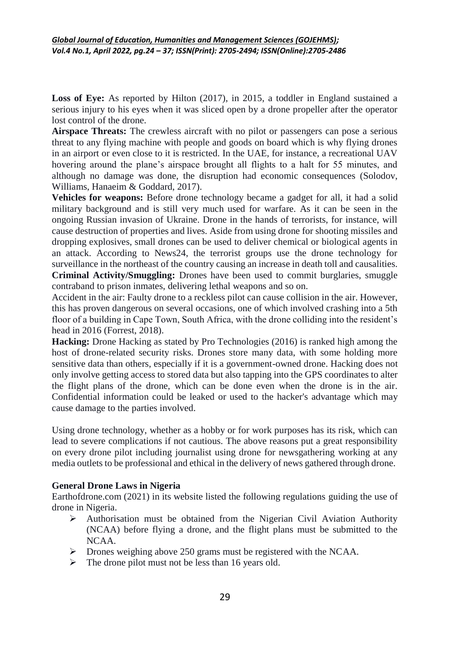**Loss of Eye:** As reported by Hilton (2017), in 2015, a toddler in England sustained a serious injury to his eyes when it was sliced open by a drone propeller after the operator lost control of the drone.

**Airspace Threats:** The crewless aircraft with no pilot or passengers can pose a serious threat to any flying machine with people and goods on board which is why flying drones in an airport or even close to it is restricted. In the UAE, for instance, a recreational UAV hovering around the plane's airspace brought all flights to a halt for 55 minutes, and although no damage was done, the disruption had economic consequences (Solodov, Williams, Hanaeim & Goddard, 2017).

**Vehicles for weapons:** Before drone technology became a gadget for all, it had a solid military background and is still very much used for warfare. As it can be seen in the ongoing Russian invasion of Ukraine. Drone in the hands of terrorists, for instance, will cause destruction of properties and lives. Aside from using drone for shooting missiles and dropping explosives, small drones can be used to deliver chemical or biological agents in an attack. According to News24, the terrorist groups use the drone technology for surveillance in the northeast of the country causing an increase in death toll and causalities. **Criminal Activity/Smuggling:** Drones have been used to commit burglaries, smuggle contraband to prison inmates, delivering lethal weapons and so on.

Accident in the air: Faulty drone to a reckless pilot can cause collision in the air. However, this has proven dangerous on several occasions, one of which involved crashing into a 5th floor of a building in Cape Town, South Africa, with the drone colliding into the resident's head in 2016 (Forrest, 2018).

**Hacking:** Drone Hacking as stated by Pro Technologies (2016) is ranked high among the host of drone-related security risks. Drones store many data, with some holding more sensitive data than others, especially if it is a government-owned drone. Hacking does not only involve getting access to stored data but also tapping into the GPS coordinates to alter the flight plans of the drone, which can be done even when the drone is in the air. Confidential information could be leaked or used to the hacker's advantage which may cause damage to the parties involved.

Using drone technology, whether as a hobby or for work purposes has its risk, which can lead to severe complications if not cautious. The above reasons put a great responsibility on every drone pilot including journalist using drone for newsgathering working at any media outlets to be professional and ethical in the delivery of news gathered through drone.

# **General Drone Laws in Nigeria**

Earthofdrone.com (2021) in its website listed the following regulations guiding the use of drone in Nigeria.

- $\triangleright$  Authorisation must be obtained from the Nigerian Civil Aviation Authority (NCAA) before flying a drone, and the flight plans must be submitted to the NCAA.
- Drones weighing above 250 grams must be registered with the NCAA.
- $\triangleright$  The drone pilot must not be less than 16 years old.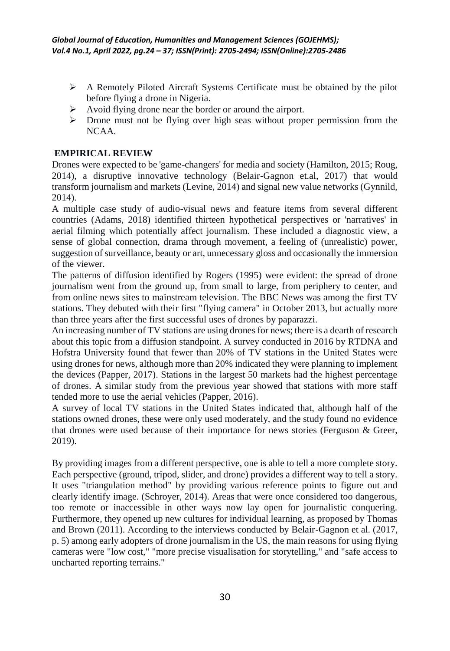- A Remotely Piloted Aircraft Systems Certificate must be obtained by the pilot before flying a drone in Nigeria.
- Avoid flying drone near the border or around the airport.
- $\triangleright$  Drone must not be flying over high seas without proper permission from the NCAA.

# **EMPIRICAL REVIEW**

Drones were expected to be 'game-changers' for media and society (Hamilton, 2015; Roug, 2014), a disruptive innovative technology (Belair-Gagnon [et.al,](http://et.al/) 2017) that would transform journalism and markets (Levine, 2014) and signal new value networks (Gynnild, 2014).

A multiple case study of audio-visual news and feature items from several different countries (Adams, 2018) identified thirteen hypothetical perspectives or 'narratives' in aerial filming which potentially affect journalism. These included a diagnostic view, a sense of global connection, drama through movement, a feeling of (unrealistic) power, suggestion of surveillance, beauty or art, unnecessary gloss and occasionally the immersion of the viewer.

The patterns of diffusion identified by Rogers (1995) were evident: the spread of drone journalism went from the ground up, from small to large, from periphery to center, and from online news sites to mainstream television. The BBC News was among the first TV stations. They debuted with their first "flying camera" in October 2013, but actually more than three years after the first successful uses of drones by paparazzi.

An increasing number of TV stations are using drones for news; there is a dearth of research about this topic from a diffusion standpoint. A survey conducted in 2016 by RTDNA and Hofstra University found that fewer than 20% of TV stations in the United States were using drones for news, although more than 20% indicated they were planning to implement the devices (Papper, 2017). Stations in the largest 50 markets had the highest percentage of drones. A similar study from the previous year showed that stations with more staff tended more to use the aerial vehicles (Papper, 2016).

A survey of local TV stations in the United States indicated that, although half of the stations owned drones, these were only used moderately, and the study found no evidence that drones were used because of their importance for news stories (Ferguson & Greer, 2019).

By providing images from a different perspective, one is able to tell a more complete story. Each perspective (ground, tripod, slider, and drone) provides a different way to tell a story. It uses "triangulation method" by providing various reference points to figure out and clearly identify image. (Schroyer, 2014). Areas that were once considered too dangerous, too remote or inaccessible in other ways now lay open for journalistic conquering. Furthermore, they opened up new cultures for individual learning, as proposed by Thomas and Brown (2011). According to the interviews conducted by Belair-Gagnon et al. (2017, p. 5) among early adopters of drone journalism in the US, the main reasons for using flying cameras were "low cost," "more precise visualisation for storytelling," and "safe access to uncharted reporting terrains."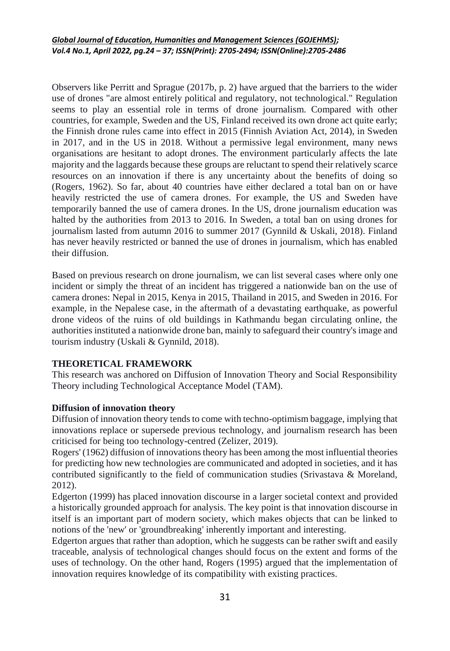Observers like Perritt and Sprague (2017b, p. 2) have argued that the barriers to the wider use of drones "are almost entirely political and regulatory, not technological." Regulation seems to play an essential role in terms of drone journalism. Compared with other countries, for example, Sweden and the US, Finland received its own drone act quite early; the Finnish drone rules came into effect in 2015 (Finnish Aviation Act, 2014), in Sweden in 2017, and in the US in 2018. Without a permissive legal environment, many news organisations are hesitant to adopt drones. The environment particularly affects the late majority and the laggards because these groups are reluctant to spend their relatively scarce resources on an innovation if there is any uncertainty about the benefits of doing so (Rogers, 1962). So far, about 40 countries have either declared a total ban on or have heavily restricted the use of camera drones. For example, the US and Sweden have temporarily banned the use of camera drones. In the US, drone journalism education was halted by the authorities from 2013 to 2016. In Sweden, a total ban on using drones for journalism lasted from autumn 2016 to summer 2017 (Gynnild & Uskali, 2018). Finland has never heavily restricted or banned the use of drones in journalism, which has enabled their diffusion.

Based on previous research on drone journalism, we can list several cases where only one incident or simply the threat of an incident has triggered a nationwide ban on the use of camera drones: Nepal in 2015, Kenya in 2015, Thailand in 2015, and Sweden in 2016. For example, in the Nepalese case, in the aftermath of a devastating earthquake, as powerful drone videos of the ruins of old buildings in Kathmandu began circulating online, the authorities instituted a nationwide drone ban, mainly to safeguard their country's image and tourism industry (Uskali & Gynnild, 2018).

# **THEORETICAL FRAMEWORK**

This research was anchored on Diffusion of Innovation Theory and Social Responsibility Theory including Technological Acceptance Model (TAM).

## **Diffusion of innovation theory**

Diffusion of innovation theory tends to come with techno-optimism baggage, implying that innovations replace or supersede previous technology, and journalism research has been criticised for being too technology-centred (Zelizer, 2019).

Rogers' (1962) diffusion of innovations theory has been among the most influential theories for predicting how new technologies are communicated and adopted in societies, and it has contributed significantly to the field of communication studies (Srivastava & Moreland, 2012).

Edgerton (1999) has placed innovation discourse in a larger societal context and provided a historically grounded approach for analysis. The key point is that innovation discourse in itself is an important part of modern society, which makes objects that can be linked to notions of the 'new' or 'groundbreaking' inherently important and interesting.

Edgerton argues that rather than adoption, which he suggests can be rather swift and easily traceable, analysis of technological changes should focus on the extent and forms of the uses of technology. On the other hand, Rogers (1995) argued that the implementation of innovation requires knowledge of its compatibility with existing practices.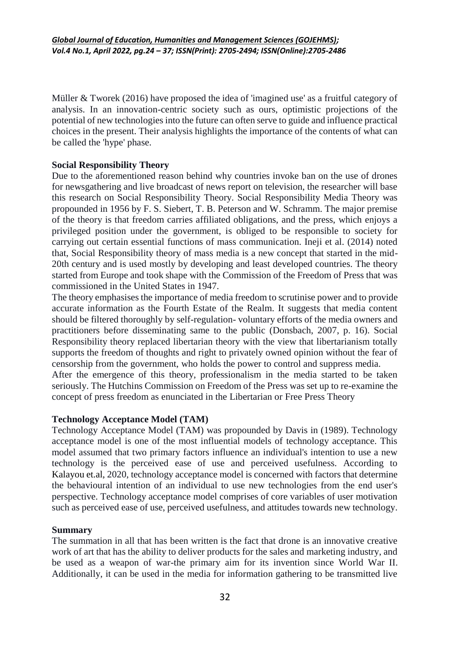Müller & Tworek (2016) have proposed the idea of 'imagined use' as a fruitful category of analysis. In an innovation-centric society such as ours, optimistic projections of the potential of new technologies into the future can often serve to guide and influence practical choices in the present. Their analysis highlights the importance of the contents of what can be called the 'hype' phase.

# **Social Responsibility Theory**

Due to the aforementioned reason behind why countries invoke ban on the use of drones for newsgathering and live broadcast of news report on television, the researcher will base this research on Social Responsibility Theory. Social Responsibility Media Theory was propounded in 1956 by F. S. Siebert, T. B. Peterson and W. Schramm. The major premise of the theory is that freedom carries affiliated obligations, and the press, which enjoys a privileged position under the government, is obliged to be responsible to society for carrying out certain essential functions of mass communication. Ineji et al. (2014) noted that, Social Responsibility theory of mass media is a new concept that started in the mid-20th century and is used mostly by developing and least developed countries. The theory started from Europe and took shape with the Commission of the Freedom of Press that was commissioned in the United States in 1947.

The theory emphasises the importance of media freedom to scrutinise power and to provide accurate information as the Fourth Estate of the Realm. It suggests that media content should be filtered thoroughly by self-regulation- voluntary efforts of the media owners and practitioners before disseminating same to the public (Donsbach, 2007, p. 16). Social Responsibility theory replaced libertarian theory with the view that libertarianism totally supports the freedom of thoughts and right to privately owned opinion without the fear of censorship from the government, who holds the power to control and suppress media. After the emergence of this theory, professionalism in the media started to be taken seriously. The Hutchins Commission on Freedom of the Press was set up to re-examine the concept of press freedom as enunciated in the Libertarian or Free Press Theory

## **Technology Acceptance Model (TAM)**

Technology Acceptance Model (TAM) was propounded by Davis in (1989). Technology acceptance model is one of the most influential models of technology acceptance. This model assumed that two primary factors influence an individual's intention to use a new technology is the perceived ease of use and perceived usefulness. According to Kalayou [et.al,](http://et.al/) 2020, technology acceptance model is concerned with factors that determine the behavioural intention of an individual to use new technologies from the end user's perspective. Technology acceptance model comprises of core variables of user motivation such as perceived ease of use, perceived usefulness, and attitudes towards new technology.

## **Summary**

The summation in all that has been written is the fact that drone is an innovative creative work of art that has the ability to deliver products for the sales and marketing industry, and be used as a weapon of war-the primary aim for its invention since World War II. Additionally, it can be used in the media for information gathering to be transmitted live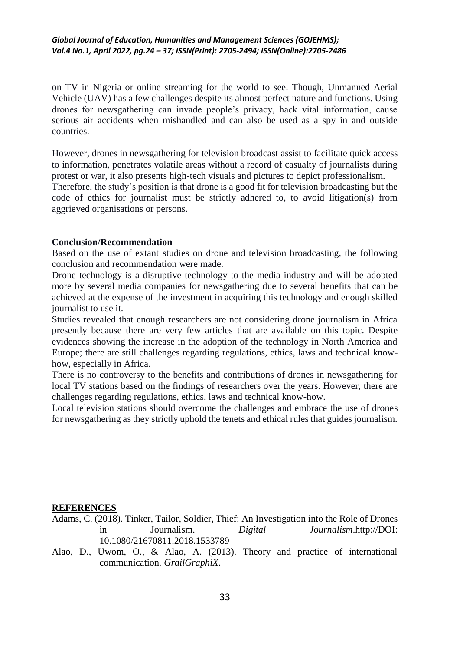on TV in Nigeria or online streaming for the world to see. Though, Unmanned Aerial Vehicle (UAV) has a few challenges despite its almost perfect nature and functions. Using drones for newsgathering can invade people's privacy, hack vital information, cause serious air accidents when mishandled and can also be used as a spy in and outside countries.

However, drones in newsgathering for television broadcast assist to facilitate quick access to information, penetrates volatile areas without a record of casualty of journalists during protest or war, it also presents high-tech visuals and pictures to depict professionalism.

Therefore, the study's position is that drone is a good fit for television broadcasting but the code of ethics for journalist must be strictly adhered to, to avoid litigation(s) from aggrieved organisations or persons.

#### **Conclusion/Recommendation**

Based on the use of extant studies on drone and television broadcasting, the following conclusion and recommendation were made.

Drone technology is a disruptive technology to the media industry and will be adopted more by several media companies for newsgathering due to several benefits that can be achieved at the expense of the investment in acquiring this technology and enough skilled journalist to use it.

Studies revealed that enough researchers are not considering drone journalism in Africa presently because there are very few articles that are available on this topic. Despite evidences showing the increase in the adoption of the technology in North America and Europe; there are still challenges regarding regulations, ethics, laws and technical knowhow, especially in Africa.

There is no controversy to the benefits and contributions of drones in newsgathering for local TV stations based on the findings of researchers over the years. However, there are challenges regarding regulations, ethics, laws and technical know-how.

Local television stations should overcome the challenges and embrace the use of drones for newsgathering as they strictly uphold the tenets and ethical rules that guides journalism.

#### **REFERENCES**

- Adams, C. (2018). Tinker, Tailor, Soldier, Thief: An Investigation into the Role of Drones in Journalism. *Digital Journalism*.http://DOI: 10.1080/21670811.2018.1533789
- Alao, D., Uwom, O., & Alao, A. (2013). Theory and practice of international communication. *GrailGraphiX*.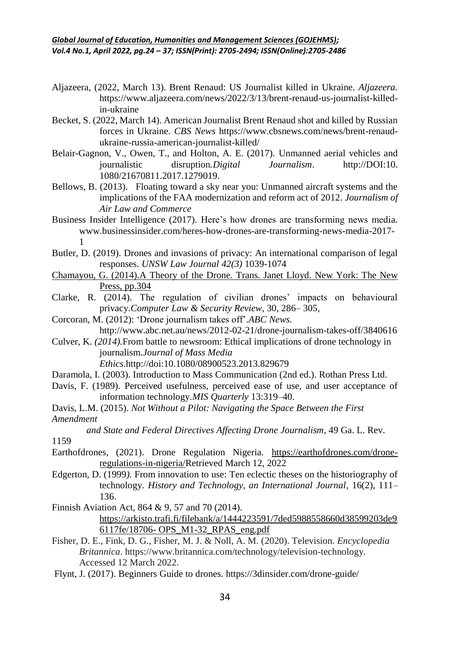- Aljazeera, (2022, March 13). Brent Renaud: US Journalist killed in Ukraine. *Aljazeera.*  https://www.aljazeera.com/news/2022/3/13/brent-renaud-us-journalist-killedin-ukraine
- Becket, S. (2022, March 14). American Journalist Brent Renaud shot and killed by Russian forces in Ukraine. *CBS News* https://www.cbsnews.com/news/brent-renaudukraine-russia-american-journalist-killed/
- Belair-Gagnon, V., Owen, T., and Holton, A. E. (2017). Unmanned aerial vehicles and journalistic disruption*.Digital Journalism*. http://DOI:10. 1080/21670811.2017.1279019.
- Bellows, B. (2013). Floating toward a sky near you: Unmanned aircraft systems and the implications of the FAA modernization and reform act of 2012. *Journalism of Air Law and Commerce*
- Business Insider Intelligence (2017). Here's how drones are transforming news media. www.businessinsider.com/heres-how-drones-are-transforming-news-media-2017- 1
- Butler, D. (2019). Drones and invasions of privacy: An international comparison of legal responses. *UNSW Law Journal 42(3)* 1039-1074
- [Chamayou,](https://www.researchgate.net/publication/317670365_Gregoire_Chamayou_A_Theory_of_the_Drone_Trans_Janet_Lloyd_New_York_The_New_Press_2014_304_pp) G. (2014).A Theory of the Drone*.* Trans. Janet Lloyd. New York: The New Press, [pp.304](https://www.researchgate.net/publication/317670365_Gregoire_Chamayou_A_Theory_of_the_Drone_Trans_Janet_Lloyd_New_York_The_New_Press_2014_304_pp)
- Clarke, R. (2014). The regulation of civilian drones' impacts on behavioural privacy.*Computer Law & Security Review*, 30, 286– 305,
- Corcoran, M. (2012): 'Drone journalism takes off'.*ABC News.*  http://www.abc.net.au/news/2012-02-21/drone-journalism-takes-off/3840616
- Culver, K. *(2014).*From battle to newsroom: Ethical implications of drone technology in journalism.*Journal of Mass Media Ethics*.http://doi:10.1080/08900523.2013.829679
- Daramola, I. (2003). Introduction to Mass Communication (2nd ed.). Rothan Press Ltd.
- Davis, F. (1989). Perceived usefulness, perceived ease of use, and user acceptance of information technology.*MIS Quarterly* 13:319–40.
- Davis, L.M. (2015). *Not Without a Pilot: Navigating the Space Between the First Amendment*

*and State and Federal Directives Affecting Drone Journalism,* 49 Ga. L. Rev.

1159

- Earthofdrones, (2021). Drone Regulation Nigeria. [https://earthofdrones.com/drone](https://earthofdrones.com/drone-regulations-in-nigeria/)[regulations-in-nigeria/R](https://earthofdrones.com/drone-regulations-in-nigeria/)etrieved March 12, 2022
- Edgerton, D. (1999*).* From innovation to use: Ten eclectic theses on the historiography of technology. *History and Technology, an International Journal*, 16(2), 111– 136.
- Finnish Aviation Act, 864 & 9, 57 and 70 (2014). [https://arkisto.trafi.fi/filebank/a/1444223591/7ded5988558660d38599203de9](https://arkisto.trafi.fi/filebank/a/1444223591/7ded5988558660d38599203de96117fe/18706-%20OPS_M1-32_RPAS_eng.pdf) 6117fe/18706- [OPS\\_M1-32\\_RPAS\\_eng.pdf](https://arkisto.trafi.fi/filebank/a/1444223591/7ded5988558660d38599203de96117fe/18706-%20OPS_M1-32_RPAS_eng.pdf)
- Fisher, D. E., Fink, D. G., Fisher, M. J. & Noll, A. M. (2020). Television. *Encyclopedia Britannica*. https://www.britannica.com/technology/television-technology. Accessed 12 March 2022.
- Flynt, J. (2017). Beginners Guide to drones*.* https://3dinsider.com/drone-guide/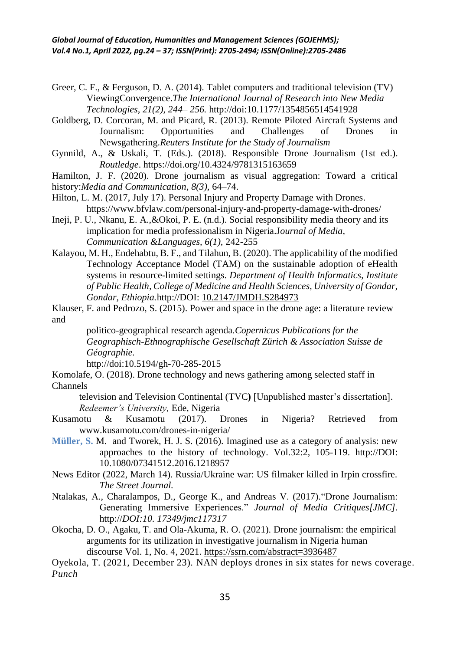Greer, C. F., & Ferguson, D. A. (2014). Tablet computers and traditional television (TV) ViewingConvergence.*The International Journal of Research into New Media Technologies, 21(2), 244– 256.* http://doi:10.1177/1354856514541928

Goldberg, D. Corcoran, M. and Picard, R. (2013). Remote Piloted Aircraft Systems and Journalism: Opportunities and Challenges of Drones in Newsgathering.*Reuters Institute for the Study of Journalism*

Gynnild, A., & Uskali, T. (Eds.). (2018). Responsible Drone Journalism (1st ed.). *Routledge*. https://doi.org/10.4324/9781315163659

Hamilton, J. F. (2020). Drone journalism as visual aggregation: Toward a critical history:*Media and Communication*, *8(3),* 64–74.

Hilton, L. M. (2017, July 17). Personal Injury and Property Damage with Drones. https://www.bfvlaw.com/personal-injury-and-property-damage-with-drones/

Ineji, P. U., Nkanu, E. A.,&Okoi, P. E. (n.d.). Social responsibility media theory and its implication for media professionalism in Nigeria.J*ournal of Media, Communication &Languages, 6(1),* 242-255

Kalayou, M. H., Endehabtu, B. F., and Tilahun, B. (2020). The applicability of the modified Technology Acceptance Model (TAM) on the sustainable adoption of eHealth systems in resource-limited settings. *Department of Health Informatics, Institute of Public Health, College of Medicine and Health Sciences, University of Gondar, Gondar, Ethiopia.*http://DOI: [10.2147/JMDH.S284973](https://doi.org/10.2147/jmdh.s284973)

Klauser, F. and Pedrozo, S. (2015). Power and space in the drone age: a literature review and

politico-geographical research agenda.*Copernicus Publications for the Geographisch-Ethnographische Gesellschaft Zürich & Association Suisse de Géographie.* 

http://doi:10.5194/gh-70-285-2015

Komolafe, O. (2018). Drone technology and news gathering among selected staff in Channels

television and Television Continental (TVC**)** [Unpublished master's dissertation]. *Redeemer's University,* Ede, Nigeria

- Kusamotu & Kusamotu (2017). Drones in Nigeria? Retrieved from www.kusamotu.com/drones-in-nigeria/
- **Müller, S.** M. and Tworek, H. J. S. (2016). Imagined use as a category of analysis: new approaches to the history of technology. Vol.32:2, 105-119. http://DOI: 10.1080/07341512.2016.1218957
- News Editor (2022, March 14). Russia/Ukraine war: US filmaker killed in Irpin crossfire. *The Street Journal.*
- Ntalakas, A., Charalampos, D., George K., and Andreas V. (2017)."Drone Journalism: Generating Immersive Experiences." *Journal of Media Critiques[JMC].*  http://*DOI:10. 17349/jmc117317*
- Okocha, D. O., Agaku, T. and Ola-Akuma, R. O. (2021). Drone journalism: the empirical arguments for its utilization in investigative journalism in Nigeria human discourse Vol. 1, No. 4, 2021. <https://ssrn.com/abstract=3936487>

Oyekola, T. (2021, December 23). NAN deploys drones in six states for news coverage. *Punch*